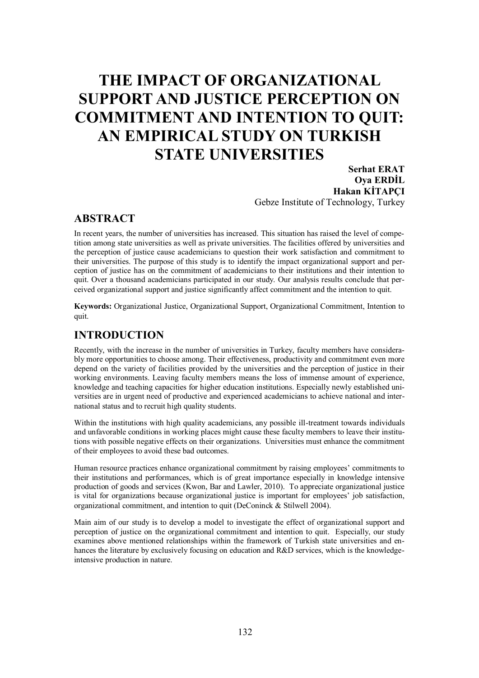# **THE IMPACT OF ORGANIZATIONAL SUPPORT AND JUSTICE PERCEPTION ON COMMITMENT AND INTENTION TO QUIT: AN EMPIRICAL STUDY ON TURKISH STATE UNIVERSITIES**

**Serhat ERAT Oya ERDİL Hakan KİTAPÇI** Gebze Institute of Technology, Turkey

#### **ABSTRACT**

In recent years, the number of universities has increased. This situation has raised the level of competition among state universities as well as private universities. The facilities offered by universities and the perception of justice cause academicians to question their work satisfaction and commitment to their universities. The purpose of this study is to identify the impact organizational support and perception of justice has on the commitment of academicians to their institutions and their intention to quit. Over a thousand academicians participated in our study. Our analysis results conclude that perceived organizational support and justice significantly affect commitment and the intention to quit.

**Keywords:** Organizational Justice, Organizational Support, Organizational Commitment, Intention to quit.

#### **INTRODUCTION**

Recently, with the increase in the number of universities in Turkey, faculty members have considerably more opportunities to choose among. Their effectiveness, productivity and commitment even more depend on the variety of facilities provided by the universities and the perception of justice in their working environments. Leaving faculty members means the loss of immense amount of experience, knowledge and teaching capacities for higher education institutions. Especially newly established universities are in urgent need of productive and experienced academicians to achieve national and international status and to recruit high quality students.

Within the institutions with high quality academicians, any possible ill-treatment towards individuals and unfavorable conditions in working places might cause these faculty members to leave their institutions with possible negative effects on their organizations. Universities must enhance the commitment of their employees to avoid these bad outcomes.

Human resource practices enhance organizational commitment by raising employees' commitments to their institutions and performances, which is of great importance especially in knowledge intensive production of goods and services (Kwon, Bar and Lawler, 2010). To appreciate organizational justice is vital for organizations because organizational justice is important for employees' job satisfaction, organizational commitment, and intention to quit (DeConinck & Stilwell 2004).

Main aim of our study is to develop a model to investigate the effect of organizational support and perception of justice on the organizational commitment and intention to quit. Especially, our study examines above mentioned relationships within the framework of Turkish state universities and enhances the literature by exclusively focusing on education and R&D services, which is the knowledgeintensive production in nature.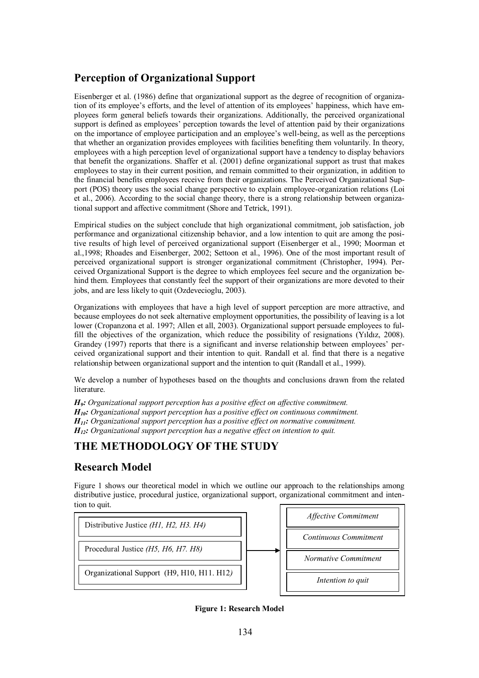# **Perception of Organizational Support**

Eisenberger et al. (1986) define that organizational support as the degree of recognition of organization of its employee's efforts, and the level of attention of its employees' happiness, which have employees form general beliefs towards their organizations. Additionally, the perceived organizational support is defined as employees' perception towards the level of attention paid by their organizations on the importance of employee participation and an employee's well-being, as well as the perceptions that whether an organization provides employees with facilities benefiting them voluntarily. In theory, employees with a high perception level of organizational support have a tendency to display behaviors that benefit the organizations. Shaffer et al. (2001) define organizational support as trust that makes employees to stay in their current position, and remain committed to their organization, in addition to the financial benefits employees receive from their organizations. The Perceived Organizational Support (POS) theory uses the social change perspective to explain employee-organization relations (Loi et al., 2006). According to the social change theory, there is a strong relationship between organizational support and affective commitment (Shore and Tetrick, 1991).

Empirical studies on the subject conclude that high organizational commitment, job satisfaction, job performance and organizational citizenship behavior, and a low intention to quit are among the positive results of high level of perceived organizational support (Eisenberger et al., 1990; Moorman et al.,1998; Rhoades and Eisenberger, 2002; Settoon et al., 1996). One of the most important result of perceived organizational support is stronger organizational commitment (Christopher, 1994). Perceived Organizational Support is the degree to which employees feel secure and the organization behind them. Employees that constantly feel the support of their organizations are more devoted to their jobs, and are less likely to quit (Ozdevecioglu, 2003).

Organizations with employees that have a high level of support perception are more attractive, and because employees do not seek alternative employment opportunities, the possibility of leaving is a lot lower (Cropanzona et al. 1997; Allen et all, 2003). Organizational support persuade employees to fulfill the objectives of the organization, which reduce the possibility of resignations (Yıldız, 2008). Grandey (1997) reports that there is a significant and inverse relationship between employees' perceived organizational support and their intention to quit. Randall et al. find that there is a negative relationship between organizational support and the intention to quit (Randall et al., 1999).

We develop a number of hypotheses based on the thoughts and conclusions drawn from the related literature.

*H9: Organizational support perception has a positive effect on affective commitment. H10: Organizational support perception has a positive effect on continuous commitment. H11: Organizational support perception has a positive effect on normative commitment. H12: Organizational support perception has a negative effect on intention to quit.*

# **THE METHODOLOGY OF THE STUDY**

## **Research Model**

Figure 1 shows our theoretical model in which we outline our approach to the relationships among distributive justice, procedural justice, organizational support, organizational commitment and intention to quit.





**Figure 1: Research Model**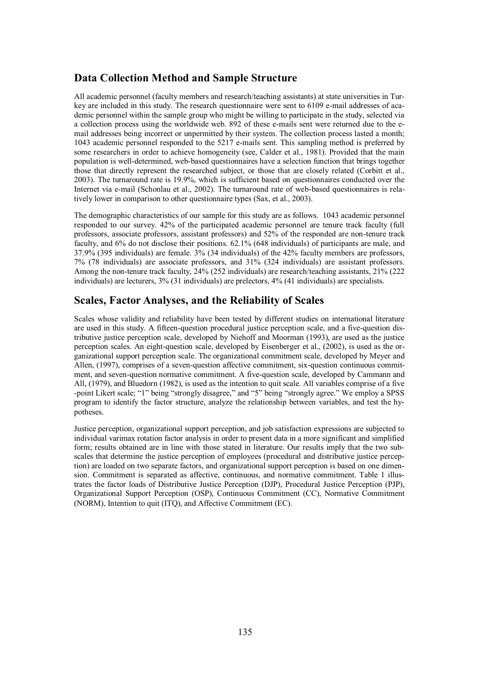## **Data Collection Method and Sample Structure**

All academic personnel (faculty members and research/teaching assistants) at state universities in Turkey are included in this study. The research questionnaire were sent to 6109 e-mail addresses of academic personnel within the sample group who might be willing to participate in the study, selected via a collection process using the worldwide web. 892 of these e-mails sent were returned due to the email addresses being incorrect or unpermitted by their system. The collection process lasted a month; 1043 academic personnel responded to the 5217 e-mails sent. This sampling method is preferred by some researchers in order to achieve homogeneity (see, Calder et al., 1981). Provided that the main population is well-determined, web-based questionnaires have a selection function that brings together those that directly represent the researched subject, or those that are closely related (Corbitt et al., 2003). The turnaround rate is 19.9%, which is sufficient based on questionnaires conducted over the Internet via e-mail (Schonlau et al., 2002). The turnaround rate of web-based questionnaires is relatively lower in comparison to other questionnaire types (Sax, et al., 2003).

The demographic characteristics of our sample for this study are as follows. 1043 academic personnel responded to our survey. 42% of the participated academic personnel are tenure track faculty (full professors, associate professors, assistant professors) and 52% of the responded are non-tenure track faculty, and 6% do not disclose their positions. 62.1% (648 individuals) of participants are male, and 37.9% (395 individuals) are female. 3% (34 individuals) of the 42% faculty members are professors, 7% (78 individuals) are associate professors, and 31% (324 individuals) are assistant professors. Among the non-tenure track faculty, 24% (252 individuals) are research/teaching assistants, 21% (222 individuals) are lecturers, 3% (31 individuals) are prelectors, 4% (41 individuals) are specialists.

### **Scales, Factor Analyses, and the Reliability of Scales**

Scales whose validity and reliability have been tested by different studies on international literature are used in this study. A fifteen-question procedural justice perception scale, and a five-question distributive justice perception scale, developed by Niehoff and Moorman (1993), are used as the justice perception scales. An eight-question scale, developed by Eisenberger et al., (2002), is used as the organizational support perception scale. The organizational commitment scale, developed by Meyer and Allen, (1997), comprises of a seven-question affective commitment, six-question continuous commitment, and seven-question normative commitment. A five-question scale, developed by Cammann and All, (1979), and Bluedorn (1982), is used as the intention to quit scale. All variables comprise of a five -point Likert scale; "1" being "strongly disagree," and "5" being "strongly agree." We employ a SPSS program to identify the factor structure, analyze the relationship between variables, and test the hypotheses.

Justice perception, organizational support perception, and job satisfaction expressions are subjected to individual varimax rotation factor analysis in order to present data in a more significant and simplified form; results obtained are in line with those stated in literature. Our results imply that the two subscales that determine the justice perception of employees (procedural and distributive justice perception) are loaded on two separate factors, and organizational support perception is based on one dimension. Commitment is separated as affective, continuous, and normative commitment. Table 1 illustrates the factor loads of Distributive Justice Perception (DJP), Procedural Justice Perception (PJP), Organizational Support Perception (OSP), Continuous Commitment (CC), Normative Commitment (NORM), Intention to quit (ITQ), and Affective Commitment (EC).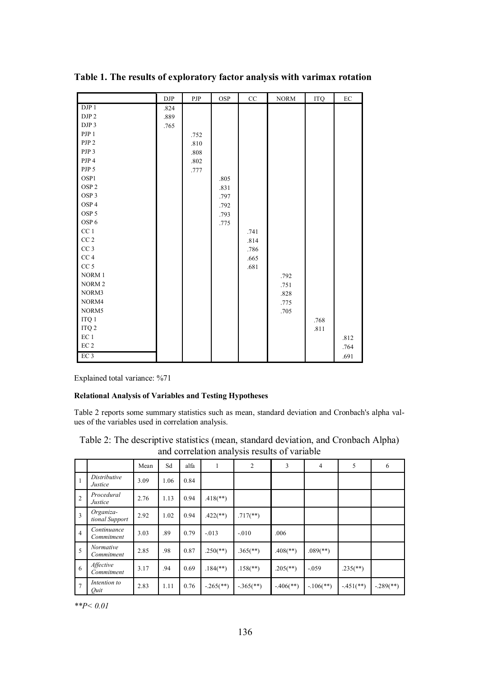|                   | $\rm{DJP}$ | PJP      | OSP  | $\rm CC$ | <b>NORM</b> | $\rm ITQ$ | $\rm EC$ |
|-------------------|------------|----------|------|----------|-------------|-----------|----------|
| DJP1              | .824       |          |      |          |             |           |          |
| DJP <sub>2</sub>  | .889       |          |      |          |             |           |          |
| DJP 3             | .765       |          |      |          |             |           |          |
| PJP <sub>1</sub>  |            | .752     |      |          |             |           |          |
| PJP <sub>2</sub>  |            | .810     |      |          |             |           |          |
| PJP 3             |            | $.808\,$ |      |          |             |           |          |
| PJP 4             |            | .802     |      |          |             |           |          |
| PJP 5             |            | .777     |      |          |             |           |          |
| OSP1              |            |          | .805 |          |             |           |          |
| OSP <sub>2</sub>  |            |          | .831 |          |             |           |          |
| OSP <sub>3</sub>  |            |          | .797 |          |             |           |          |
| OSP <sub>4</sub>  |            |          | .792 |          |             |           |          |
| OSP <sub>5</sub>  |            |          | .793 |          |             |           |          |
| OSP <sub>6</sub>  |            |          | .775 |          |             |           |          |
| CC <sub>1</sub>   |            |          |      | .741     |             |           |          |
| $\rm CC$ $2$      |            |          |      | .814     |             |           |          |
| $CC3$             |            |          |      | .786     |             |           |          |
| $CC\,4$           |            |          |      | .665     |             |           |          |
| $CC\;5$           |            |          |      | .681     |             |           |          |
| NORM 1            |            |          |      |          | .792        |           |          |
| NORM <sub>2</sub> |            |          |      |          | .751        |           |          |
| NORM3             |            |          |      |          | .828        |           |          |
| NORM4             |            |          |      |          | .775        |           |          |
| NORM5             |            |          |      |          | .705        |           |          |
| $\rm ITQ$ $\rm 1$ |            |          |      |          |             | .768      |          |
| ITQ <sub>2</sub>  |            |          |      |          |             | .811      |          |
| $EC1$             |            |          |      |          |             |           | .812     |
| $\rm EC~2$        |            |          |      |          |             |           | .764     |
| EC <sub>3</sub>   |            |          |      |          |             |           | .691     |

**Table 1. The results of exploratory factor analysis with varimax rotation**

Explained total variance: %71

#### **Relational Analysis of Variables and Testing Hypotheses**

Table 2 reports some summary statistics such as mean, standard deviation and Cronbach's alpha values of the variables used in correlation analysis.

| Table 2: The descriptive statistics (mean, standard deviation, and Cronbach Alpha) |  |
|------------------------------------------------------------------------------------|--|
| and correlation analysis results of variable                                       |  |

|                |                             | Mean | Sd   | alfa | -11                      | $\overline{c}$           | 3                        | $\overline{4}$           | 5                        | 6                         |
|----------------|-----------------------------|------|------|------|--------------------------|--------------------------|--------------------------|--------------------------|--------------------------|---------------------------|
| $\mathbf{1}$   | Distributive<br>Justice     | 3.09 | 1.06 | 0.84 |                          |                          |                          |                          |                          |                           |
| $\overline{2}$ | Procedural<br>Justice       | 2.76 | 1.13 | 0.94 | $.418$ <sup>**</sup> )   |                          |                          |                          |                          |                           |
| $\overline{3}$ | Organiza-<br>tional Support | 2.92 | 1.02 | 0.94 | $.422$ (**)              | $.717$ <sup>**</sup> )   |                          |                          |                          |                           |
| $\overline{4}$ | Continuance<br>Commitment   | 3.03 | .89  | 0.79 | $-0.013$                 | $-.010$                  | .006                     |                          |                          |                           |
| 5              | Normative<br>Commitment     | 2.85 | .98  | 0.87 | $.250$ (**)              | $.365$ <sup>(**)</sup> ) | $.408$ <sup>**</sup> )   | $.089$ <sup>(**)</sup> ) |                          |                           |
| -6             | Affective<br>Commitment     | 3.17 | .94  | 0.69 | $.184$ <sup>(**)</sup> ) | $.158$ <sup>**</sup> )   | $.205$ <sup>(**)</sup> ) | $-.059$                  | $.235$ <sup>(**)</sup> ) |                           |
| $\overline{7}$ | Intention to<br>Quit        | 2.83 | 1.11 | 0.76 | $-.265$ <sup>**</sup> )  | $-365$ (**)              | $-406$ <sup>**</sup> )   | $-106$ (**)              | $-451$ (**)              | $-.289$ <sup>(**)</sup> ) |

*\*\*P< 0.01*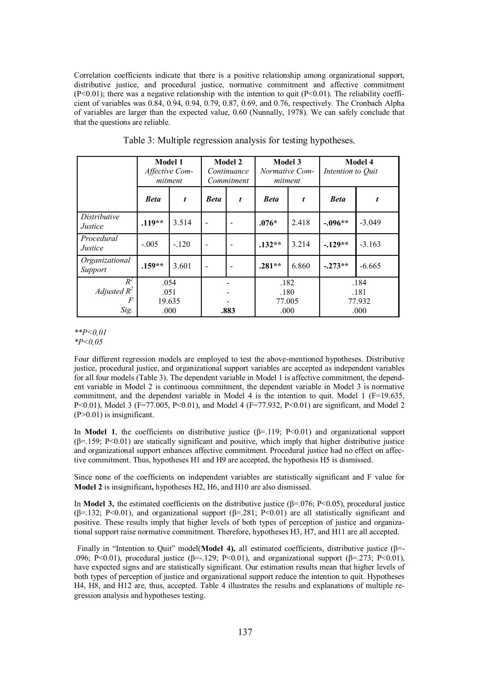Correlation coefficients indicate that there is a positive relationship among organizational support, distributive justice, and procedural justice, normative commitment and affective commitment  $(P<0.01)$ ; there was a negative relationship with the intention to quit  $(P<0.01)$ . The reliability coefficient of variables was 0.84, 0.94, 0.94, 0.79, 0.87, 0.69, and 0.76, respectively. The Cronbach Alpha of variables are larger than the expected value, 0.60 (Nunnally, 1978). We can safely conclude that that the questions are reliable.

|                              | <b>Model 1</b><br>Affective Com-<br>mitment |        | <b>Model 2</b><br>Continuance<br>Commitment |   | <b>Model 3</b><br>Normative Com-<br>mitment |       | <b>Model 4</b><br>Intention to Quit |          |
|------------------------------|---------------------------------------------|--------|---------------------------------------------|---|---------------------------------------------|-------|-------------------------------------|----------|
|                              | <b>Beta</b>                                 | t.     | <b>Beta</b>                                 | t | <b>Beta</b>                                 | t     | <b>Beta</b>                         | t        |
| Distributive<br>Justice      | $.119**$                                    | 3.514  | $\overline{\phantom{a}}$                    |   | $.076*$                                     | 2.418 | $-.096**$                           | $-3.049$ |
| Procedural<br><i>Justice</i> | $-.005$                                     | $-120$ |                                             |   | $.132**$                                    | 3.214 | $-.129**$                           | $-3.163$ |
| Organizational<br>Support    | $.159**$                                    | 3.601  |                                             |   | $.281**$                                    | 6.860 | $-.273**$                           | $-6.665$ |
| $R^2$<br>Adjusted $R^2$<br>F | .054<br>.051<br>19.635                      |        |                                             |   | .182<br>.180<br>77.005                      |       | .184<br>.181<br>77.932              |          |
| Sig.                         | .000                                        |        | .883                                        |   | .000                                        |       | .000                                |          |

Table 3: Multiple regression analysis for testing hypotheses.

*\*\*P<0,01 \*P<0,05*

Four different regression models are employed to test the above-mentioned hypotheses. Distributive justice, procedural justice, and organizational support variables are accepted as independent variables for all four models (Table 3). The dependent variable in Model 1 is affective commitment, the dependent variable in Model 2 is continuous commitment, the dependent variable in Model 3 is normative commitment, and the dependent variable in Model 4 is the intention to quit. Model 1 ( $F=19.635$ , P<0.01), Model 3 (F=77.005, P<0.01), and Model 4 (F=77.932, P<0.01) are significant, and Model 2 (P>0.01) is insignificant.

In **Model 1**, the coefficients on distributive justice  $(\beta = 119; P < 0.01)$  and organizational support  $(\beta=159; P<0.01)$  are statically significant and positive, which imply that higher distributive justice and organizational support enhances affective commitment. Procedural justice had no effect on affective commitment. Thus, hypotheses H1 and H9 are accepted, the hypothesis H5 is dismissed.

Since none of the coefficients on independent variables are statistically significant and F value for **Model 2** is insignificant**,** hypotheses H2, H6, and H10 are also dismissed.

In **Model 3,** the estimated coefficients on the distributive justice ( $\beta$ =.076; P<0.05), procedural justice ( $\beta$ =.132; P<0.01), and organizational support ( $\beta$ =.281; P<0.01) are all statistically significant and positive. These results imply that higher levels of both types of perception of justice and organizational support raise normative commitment. Therefore, hypotheses H3, H7, and H11 are all accepted.

Finally in "Intention to Quit" model(**Model 4),** all estimated coefficients, distributive justice (β=- .096; P<0.01), procedural justice ( $\beta$ =-.129; P<0.01), and organizational support ( $\beta$ =.273; P<0.01), have expected signs and are statistically significant. Our estimation results mean that higher levels of both types of perception of justice and organizational support reduce the intention to quit. Hypotheses H4, H8, and H12 are, thus, accepted. Table 4 illustrates the results and explanations of multiple regression analysis and hypotheses testing.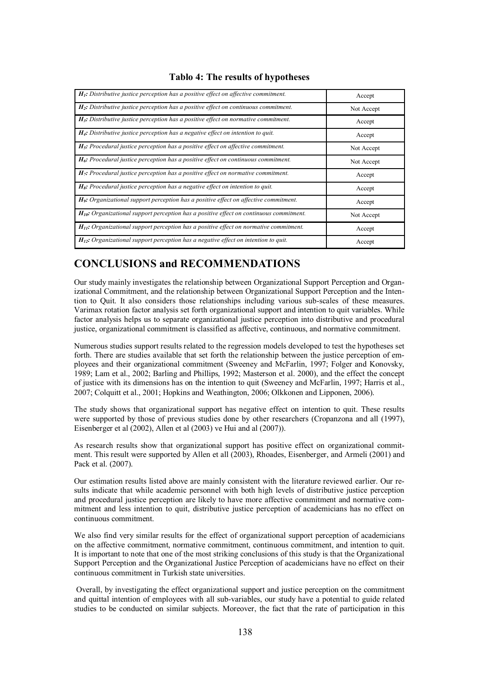| $H_1$ : Distributive justice perception has a positive effect on affective commitment.       | Accept     |
|----------------------------------------------------------------------------------------------|------------|
| $H_2$ : Distributive justice perception has a positive effect on continuous commitment.      | Not Accept |
| $H_3$ : Distributive justice perception has a positive effect on normative commitment.       | Accept     |
| $H_4$ : Distributive justice perception has a negative effect on intention to quit.          | Accept     |
| $H5$ : Procedural justice perception has a positive effect on affective commitment.          | Not Accept |
| $H_6$ : Procedural justice perception has a positive effect on continuous commitment.        | Not Accept |
| $H_7$ : Procedural justice perception has a positive effect on normative commitment.         | Accept     |
| $H_s$ : Procedural justice perception has a negative effect on intention to quit.            | Accept     |
| $H9$ : Organizational support perception has a positive effect on affective commitment.      | Accept     |
| $H_{10}$ : Organizational support perception has a positive effect on continuous commitment. | Not Accept |
| $H_{II}$ : Organizational support perception has a positive effect on normative commitment.  | Accept     |
| $H_{12}$ : Organizational support perception has a negative effect on intention to quit.     | Accept     |

#### **Tablo 4: The results of hypotheses**

## **CONCLUSIONS and RECOMMENDATIONS**

Our study mainly investigates the relationship between Organizational Support Perception and Organizational Commitment, and the relationship between Organizational Support Perception and the Intention to Quit. It also considers those relationships including various sub-scales of these measures. Varimax rotation factor analysis set forth organizational support and intention to quit variables. While factor analysis helps us to separate organizational justice perception into distributive and procedural justice, organizational commitment is classified as affective, continuous, and normative commitment.

Numerous studies support results related to the regression models developed to test the hypotheses set forth. There are studies available that set forth the relationship between the justice perception of employees and their organizational commitment (Sweeney and McFarlin, 1997; Folger and Konovsky, 1989; Lam et al., 2002; Barling and Phillips, 1992; Masterson et al. 2000), and the effect the concept of justice with its dimensions has on the intention to quit (Sweeney and McFarlin, 1997; Harris et al., 2007; Colquitt et al., 2001; Hopkins and Weathington, 2006; Olkkonen and Lipponen, 2006).

The study shows that organizational support has negative effect on intention to quit. These results were supported by those of previous studies done by other researchers (Cropanzona and all (1997), Eisenberger et al (2002), Allen et al (2003) ve Hui and al (2007)).

As research results show that organizational support has positive effect on organizational commitment. This result were supported by Allen et all (2003), Rhoades, Eisenberger, and Armeli (2001) and Pack et al. (2007).

Our estimation results listed above are mainly consistent with the literature reviewed earlier. Our results indicate that while academic personnel with both high levels of distributive justice perception and procedural justice perception are likely to have more affective commitment and normative commitment and less intention to quit, distributive justice perception of academicians has no effect on continuous commitment.

We also find very similar results for the effect of organizational support perception of academicians on the affective commitment, normative commitment, continuous commitment, and intention to quit. It is important to note that one of the most striking conclusions of this study is that the Organizational Support Perception and the Organizational Justice Perception of academicians have no effect on their continuous commitment in Turkish state universities.

Overall, by investigating the effect organizational support and justice perception on the commitment and quittal intention of employees with all sub-variables, our study have a potential to guide related studies to be conducted on similar subjects. Moreover, the fact that the rate of participation in this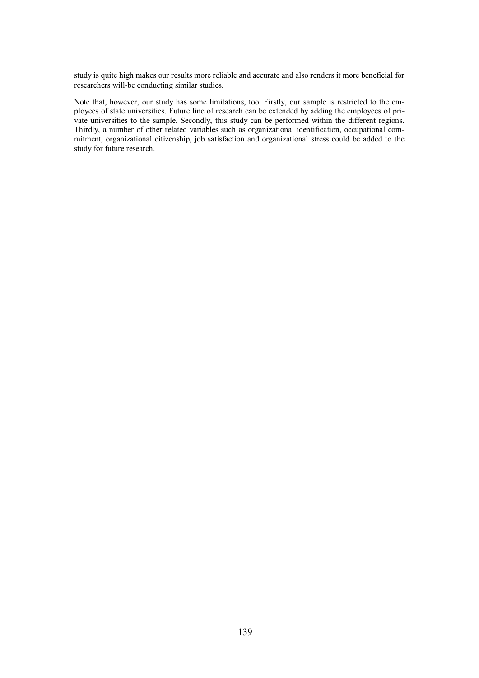study is quite high makes our results more reliable and accurate and also renders it more beneficial for researchers will-be conducting similar studies.

Note that, however, our study has some limitations, too. Firstly, our sample is restricted to the employees of state universities. Future line of research can be extended by adding the employees of private universities to the sample. Secondly, this study can be performed within the different regions. Thirdly, a number of other related variables such as organizational identification, occupational commitment, organizational citizenship, job satisfaction and organizational stress could be added to the study for future research.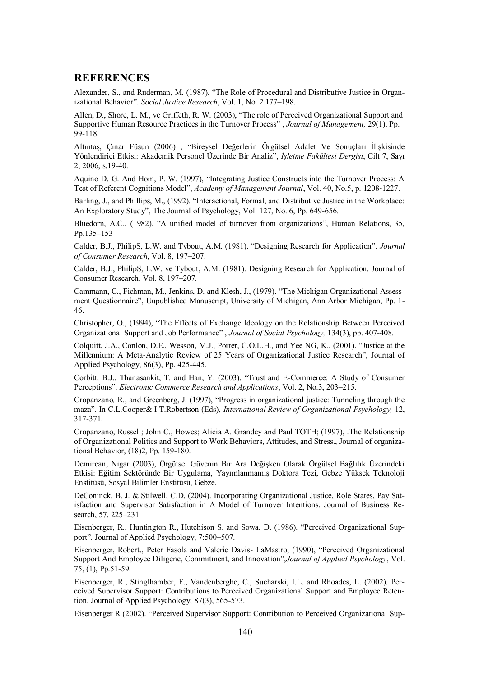#### **REFERENCES**

Alexander, S., and Ruderman, M. (1987). "The Role of Procedural and Distributive Justice in Organizational Behavior". *Social Justice Research*, Vol. 1, No. 2 177–198.

Allen, D., Shore, L. M., ve Griffeth, R. W. (2003), "The role of Perceived Organizational Support and Supportive Human Resource Practices in the Turnover Process" , *Journal of Management,* 29(1), Pp. 99-118.

Altıntaş, Çınar Füsun (2006) , "Bireysel Değerlerin Örgütsel Adalet Ve Sonuçları İlişkisinde Yönlendirici Etkisi: Akademik Personel Üzerinde Bir Analiz", *İşletme Fakültesi Dergisi*, Cilt 7, Sayı 2, 2006, s.19-40.

Aquino D. G. And Hom, P. W. (1997), "Integrating Justice Constructs into the Turnover Process: A Test of Referent Cognitions Model", *Academy of Management Journal*, Vol. 40, No.5, p. 1208-1227.

Barling, J., and Phillips, M., (1992). "Interactional, Formal, and Distributive Justice in the Workplace: An Exploratory Study", The Journal of Psychology, Vol. 127, No. 6, Pp. 649-656.

Bluedorn, A.C., (1982), "A unified model of turnover from organizations", Human Relations, 35, Pp.135–153

Calder, B.J., PhilipS, L.W. and Tybout, A.M. (1981). "Designing Research for Application". *Journal of Consumer Research*, Vol. 8, 197–207.

Calder, B.J., PhilipS, L.W. ve Tybout, A.M. (1981). Designing Research for Application. Journal of Consumer Research, Vol. 8, 197–207.

Cammann, C., Fichman, M., Jenkins, D. and Klesh, J., (1979). "The Michigan Organizational Assessment Questionnaire", Uupublished Manuscript, University of Michigan, Ann Arbor Michigan, Pp. 1- 46.

Christopher, O., (1994), "The Effects of Exchange Ideology on the Relationship Between Perceived Organizational Support and Job Performance" , *Journal of Social Psychology,* 134(3), pp. 407-408.

Colquitt, J.A., Conlon, D.E., Wesson, M.J., Porter, C.O.L.H., and Yee NG, K., (2001). "Justice at the Millennium: A Meta-Analytic Review of 25 Years of Organizational Justice Research", Journal of Applied Psychology, 86(3), Pp. 425-445.

Corbitt, B.J., Thanasankit, T. and Han, Y. (2003). "Trust and E-Commerce: A Study of Consumer Perceptions". *Electronic Commerce Research and Applications*, Vol. 2, No.3, 203–215.

Cropanzano*,* R., and Greenberg, J. (1997), "Progress in organizational justice: Tunneling through the maza". In C.L.Cooper& I.T.Robertson (Eds), *International Review of Organizational Psychology,* 12, 317-371.

Cropanzano, Russell; John C., Howes; Alicia A. Grandey and Paul TOTH; (1997), .The Relationship of Organizational Politics and Support to Work Behaviors, Attitudes, and Stress., Journal of organizational Behavior, (18)2, Pp. 159-180.

Demircan, Nigar (2003), Örgütsel Güvenin Bir Ara Değişken Olarak Örgütsel Bağlılık Üzerindeki Etkisi: Eğitim Sektöründe Bir Uygulama, Yayımlanmamış Doktora Tezi, Gebze Yüksek Teknoloji Enstitüsü, Sosyal Bilimler Enstitüsü, Gebze.

DeConinck, B. J. & Stilwell, C.D. (2004). Incorporating Organizational Justice, Role States, Pay Satisfaction and Supervisor Satisfaction in A Model of Turnover Intentions. Journal of Business Research, 57, 225–231.

Eisenberger, R., Huntington R., Hutchison S. and Sowa, D. (1986). "Perceived Organizational Support". Journal of Applied Psychology, 7:500–507.

Eisenberger, Robert., Peter Fasola and Valerie Davis- LaMastro, (1990), "Perceived Organizational Support And Employee Diligene, Commitment, and Innovation",*Journal of Applied Psychology*, Vol. 75, (1), Pp.51-59.

Eisenberger, R., Stinglhamber, F., Vandenberghe, C., Sucharski, I.L. and Rhoades, L. (2002). Perceived Supervisor Support: Contributions to Perceived Organizational Support and Employee Retention. Journal of Applied Psychology, 87(3), 565-573.

Eisenberger R (2002). "Perceived Supervisor Support: Contribution to Perceived Organizational Sup-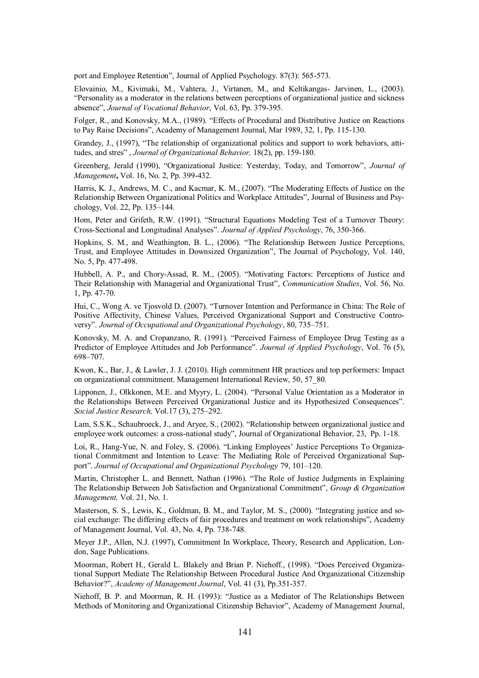port and Employee Retention", Journal of Applied Psychology. 87(3): 565-573.

Elovainio, M., Kivimaki, M., Vahtera, J., Virtanen, M., and Keltikangas- Jarvinen, L., (2003). "Personality as a moderator in the relations between perceptions of organizational justice and sickness absence", *Journal of Vocational Behavior*, Vol. 63, Pp. 379-395.

Folger, R., and Konovsky, M.A., (1989). "Effects of Procedural and Distributive Justice on Reactions to Pay Raise Decisions", Academy of Management Journal, Mar 1989, 32, 1, Pp. 115-130.

Grandey, J., (1997), "The relationship of organizational politics and support to work behaviors, attitudes, and stres" , *Journal of Organizational Behavior,* 18(2), pp. 159-180.

Greenberg, Jerald (1990), "Organizational Justice: Yesterday, Today, and Tomorrow", *Journal of Management***,** Vol. 16, No. 2, Pp. 399-432.

Harris, K. J., Andrews, M. C., and Kacmar, K. M., (2007). "The Moderating Effects of Justice on the Relationship Between Organizational Politics and Workplace Attitudes", Journal of Business and Psychology, Vol. 22, Pp. 135–144.

Hom, Peter and Grifeth, R.W. (1991). "Structural Equations Modeling Test of a Turnover Theory: Cross-Sectional and Longitudinal Analyses". *Journal of Applied Psychology*, 76, 350-366.

Hopkins, S. M., and Weathington, B. L., (2006). "The Relationship Between Justice Perceptions, Trust, and Employee Attitudes in Downsized Organization", The Journal of Psychology, Vol. 140, No. 5, Pp. 477-498.

Hubbell, A. P., and Chory-Assad, R. M., (2005). "Motivating Factors: Perceptions of Justice and Their Relationship with Managerial and Organizational Trust", *Communication Studies*, Vol. 56, No. 1, Pp. 47-70.

Hui, C., Wong A. ve Tjosvold D. (2007). "Turnover Intention and Performance in China: The Role of Positive Affectivity, Chinese Values, Perceived Organizational Support and Constructive Controversy". *Journal of Occupational and Organizational Psychology*, 80, 735–751.

Konovsky, M. A. and Cropanzano, R. (1991). "Perceived Fairness of Employee Drug Testing as a Predictor of Employee Attitudes and Job Performance". *Journal of Applied Psychology*, Vol. 76 (5), 698–707.

Kwon, K., Bar, J., & Lawler, J. J. (2010). High commitment HR practices and top performers: Impact on organizational commitment. Management International Review, 50, 57\_80.

Lipponen, J., Olkkonen, M.E. and Myyry, L. (2004). "Personal Value Orientation as a Moderator in the Relationships Between Perceived Organizational Justice and its Hypothesized Consequences". *Social Justice Research,* Vol.17 (3), 275–292.

Lam, S.S.K., Schaubroeck, J., and Aryee, S., (2002). "Relationship between organizational justice and employee work outcomes: a cross-national study", Journal of Organizational Behavior, 23, Pp. 1-18.

Loi, R., Hang-Yue, N. and Foley, S. (2006). "Linking Employees' Justice Perceptions To Organizational Commitment and Intention to Leave: The Mediating Role of Perceived Organizational Support". *Journal of Occupational and Organizational Psychology* 79, 101–120.

Martin, Christopher L. and Bennett, Nathan (1996). "The Role of Justice Judgments in Explaining The Relationship Between Job Satisfaction and Organizational Commitment", *Group & Organization Management,* Vol. 21, No. 1.

Masterson, S. S., Lewis, K., Goldman, B. M., and Taylor, M. S., (2000). "Integrating justice and social exchange: The differing effects of fair procedures and treatment on work relationships", Academy of Management Journal, Vol. 43, No. 4, Pp. 738-748.

Meyer J.P., Allen, N.J. (1997), Commitment In Workplace, Theory, Research and Application, London, Sage Publications.

Moorman, Robert H., Gerald L. Blakely and Brian P. Niehoff., (1998). "Does Perceived Organizational Support Mediate The Relationship Between Procedural Justice And Organizational Citizenship Behavior?", *Academy of Management Journal*, Vol. 41 (3), Pp.351-357.

Niehoff, B. P. and Moorman, R. H. (1993): "Justice as a Mediator of The Relationships Between Methods of Monitoring and Organizational Citizenship Behavior", Academy of Management Journal,